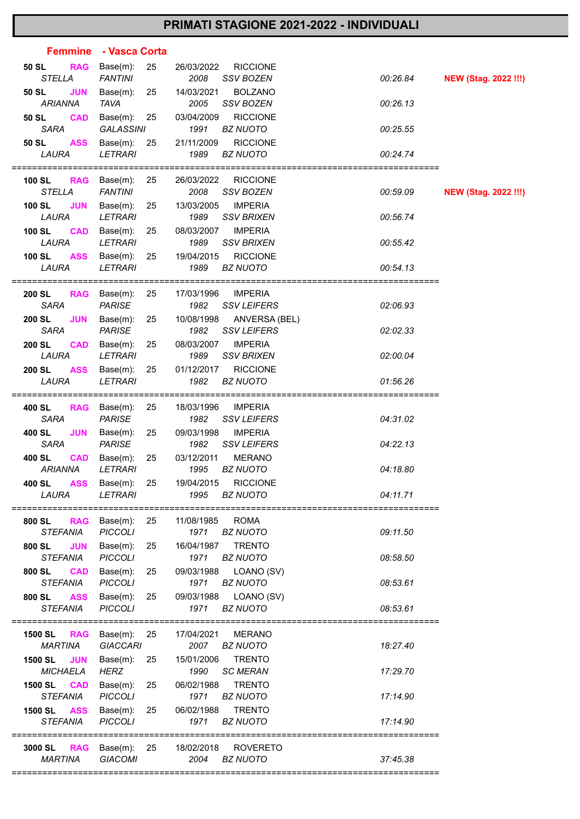## **PRIMATI STAGIONE 2021-2022 - INDIVIDUALI**

|                                                                     | Femmine - Vasca Corta                                        |                                  |                                                        |          |                             |
|---------------------------------------------------------------------|--------------------------------------------------------------|----------------------------------|--------------------------------------------------------|----------|-----------------------------|
| <b>RAG</b><br>50 SL<br><b>STELLA</b>                                | Base(m):<br>25<br><b>FANTINI</b>                             | 26/03/2022<br>2008               | <b>RICCIONE</b><br><b>SSV BOZEN</b>                    | 00:26.84 | <b>NEW (Stag. 2022 !!!)</b> |
| <b>JUN</b><br>50 SL<br><b>ARIANNA</b>                               | Base(m):<br>25<br><b>TAVA</b>                                | 14/03/2021<br>2005               | <b>BOLZANO</b><br>SSV BOZEN                            | 00:26.13 |                             |
| <b>CAD</b><br>50 SL<br><b>SARA</b>                                  | Base $(m)$ : 25<br><b>GALASSINI</b>                          | 03/04/2009<br>1991               | <b>RICCIONE</b><br><b>BZ NUOTO</b>                     | 00:25.55 |                             |
| <b>ASS</b><br>50 SL<br>LAURA                                        | Base(m):<br>25<br><b>LETRARI</b>                             | 21/11/2009<br>1989               | <b>RICCIONE</b><br><b>BZ NUOTO</b>                     | 00:24.74 |                             |
| 100 SL RAG Base(m):<br><b>STELLA</b>                                | 25<br><b>FANTINI</b>                                         | 26/03/2022<br>2008               | <b>RICCIONE</b><br>SSV BOZEN                           | 00:59.09 | <b>NEW (Stag. 2022 !!!)</b> |
| <b>JUN</b><br>100 SL<br>LAURA                                       | Base(m):<br>25<br><b>LETRARI</b>                             | 13/03/2005<br>1989               | <b>IMPERIA</b><br><b>SSV BRIXEN</b>                    | 00:56.74 |                             |
| <b>100 SL</b><br><b>CAD</b><br>LAURA                                | Base(m):<br>25<br><b>LETRARI</b>                             | 08/03/2007<br>1989               | <b>IMPERIA</b><br><b>SSV BRIXEN</b>                    | 00:55.42 |                             |
| 100 SL<br>LAURA                                                     | <b>ASS</b> Base(m):<br>25<br><b>LETRARI</b>                  | 19/04/2015<br>1989               | <b>RICCIONE</b><br><b>BZ NUOTO</b>                     | 00:54.13 |                             |
| <b>200 SL</b><br><b>SARA</b>                                        | <b>RAG</b> Base(m):<br>25<br><b>PARISE</b>                   | 17/03/1996<br>1982               | <b>IMPERIA</b><br><b>SSV LEIFERS</b>                   | 02:06.93 |                             |
| <b>JUN</b><br>200 SL<br><b>SARA</b>                                 | Base(m):<br>25<br><b>PARISE</b>                              | 10/08/1998<br>1982               | ANVERSA (BEL)<br><b>SSV LEIFERS</b>                    | 02:02.33 |                             |
| <b>200 SL</b><br><b>CAD</b><br>LAURA<br><b>200 SL</b><br><b>ASS</b> | Base(m):<br>25<br><b>LETRARI</b><br>Base(m):<br>25           | 08/03/2007<br>1989<br>01/12/2017 | <b>IMPERIA</b><br><b>SSV BRIXEN</b><br><b>RICCIONE</b> | 02:00.04 |                             |
| LAURA                                                               | <b>LETRARI</b>                                               | 1982                             | <b>BZ NUOTO</b>                                        | 01:56.26 |                             |
| 400 SL<br><b>SARA</b>                                               | <b>RAG</b> Base(m):<br>25<br><b>PARISE</b>                   | 18/03/1996<br>1982               | <b>IMPERIA</b><br><b>SSV LEIFERS</b>                   | 04:31.02 |                             |
| <b>JUN</b><br>400 SL<br><b>SARA</b>                                 | 25<br>Base(m):<br><b>PARISE</b>                              | 09/03/1998<br>1982               | <b>IMPERIA</b><br><b>SSV LEIFERS</b>                   | 04:22.13 |                             |
| 400 SL<br><b>CAD</b><br><b>ARIANNA</b>                              | Base(m):<br>25<br><b>LETRARI</b>                             | 03/12/2011<br>1995               | <b>MERANO</b><br><b>BZ NUOTO</b>                       | 04:18.80 |                             |
| LAURA                                                               | 400 SL ASS Base(m): 25 19/04/2015 RICCIONE<br><b>LETRARI</b> | 1995                             | BZ NUOTO                                               | 04:11.71 |                             |
| 800 SL<br><b>STEFANIA</b>                                           | RAG Base(m): 25<br><b>PICCOLI</b>                            | 11/08/1985<br>1971               | <b>ROMA</b><br><b>BZ NUOTO</b>                         | 09:11.50 |                             |
| <b>JUN</b><br>800 SL<br><b>STEFANIA</b>                             | Base(m):<br>25<br><b>PICCOLI</b>                             | 1971                             | 16/04/1987 TRENTO<br><b>BZ NUOTO</b>                   | 08:58.50 |                             |
| 800 SL<br><b>STEFANIA</b>                                           | <b>CAD</b> Base(m):<br>25<br><b>PICCOLI</b>                  | 1971                             | 09/03/1988 LOANO (SV)<br><b>BZ NUOTO</b>               | 08:53.61 |                             |
| <b>ASS</b><br>800 SL<br><b>STEFANIA</b>                             | Base(m):<br>25<br><b>PICCOLI</b>                             | 09/03/1988<br>1971               | LOANO (SV)<br><b>BZ NUOTO</b>                          | 08:53.61 |                             |
| <b>1500 SL RAG</b> Base(m): 25<br>MARTINA                           | <b>GIACCARI</b>                                              | 17/04/2021                       | <b>MERANO</b><br>2007 BZ NUOTO                         | 18:27.40 |                             |
| MICHAELA                                                            | 1500 SL JUN Base(m): 25 15/01/2006<br>HERZ                   | 1990                             | <b>TRENTO</b><br>SC MERAN                              | 17:29.70 |                             |
| <b>1500 SL CAD</b><br>STEFANIA                                      | Base(m):<br>25<br><b>PICCOLI</b>                             | 1971                             | 06/02/1988 TRENTO<br><b>BZ NUOTO</b>                   | 17:14.90 |                             |
| <b>1500 SL ASS</b> Base(m):<br><b>STEFANIA</b>                      | 25<br><b>PICCOLI</b>                                         | 06/02/1988<br>1971               | <b>TRENTO</b><br><b>BZ NUOTO</b>                       | 17:14.90 |                             |
| <b>3000 SL RAG</b> Base(m): 25<br><b>MARTINA</b>                    | <b>GIACOMI</b>                                               | 2004                             | 18/02/2018 ROVERETO<br><b>BZ NUOTO</b>                 | 37:45.38 |                             |
|                                                                     |                                                              |                                  |                                                        |          |                             |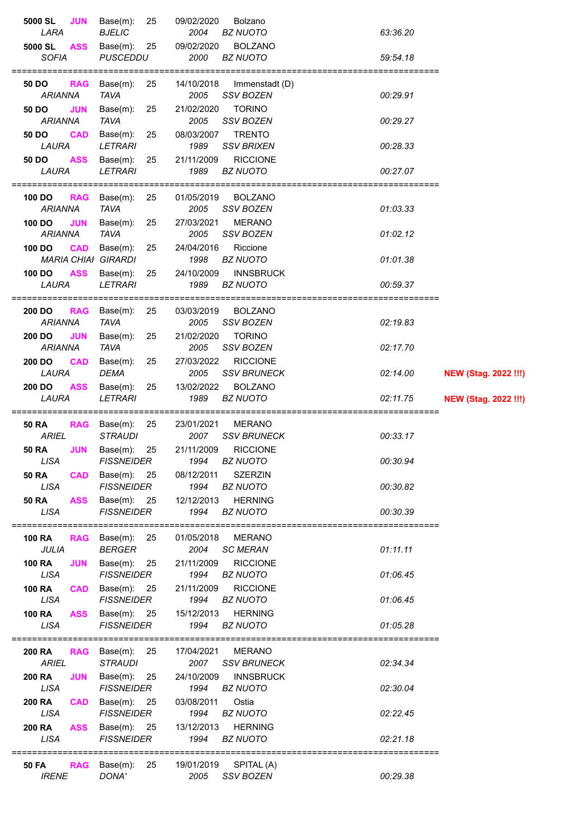| 5000 SL<br>Base(m):<br><b>JUN</b><br>25                                                   | 09/02/2020<br>Bolzano                                      |                                         |
|-------------------------------------------------------------------------------------------|------------------------------------------------------------|-----------------------------------------|
| LARA<br><b>BJELIC</b>                                                                     | 2004<br><b>BZ NUOTO</b>                                    | 63:36.20                                |
| 5000 SL<br><b>ASS</b><br>Base $(m)$ : 25                                                  | 09/02/2020<br><b>BOLZANO</b>                               |                                         |
| <b>SOFIA</b><br><b>PUSCEDDU</b>                                                           | 2000<br><b>BZ NUOTO</b>                                    | 59:54.18                                |
| Base $(m)$ : 25<br><b>RAG</b><br>50 DO                                                    | 14/10/2018<br>Immenstadt (D)                               |                                         |
| <b>ARIANNA</b><br><b>TAVA</b>                                                             | 2005<br>SSV BOZEN                                          | 00:29.91                                |
| <b>JUN</b><br>Base(m):<br>50 DO<br>25                                                     | 21/02/2020<br><b>TORINO</b>                                |                                         |
| <b>TAVA</b><br>ARIANNA                                                                    | <b>SSV BOZEN</b><br>2005                                   | 00:29.27                                |
| <b>CAD</b><br>Base(m):<br>25<br>50 DO<br>LAURA<br><b>LETRARI</b>                          | 08/03/2007<br><b>TRENTO</b><br><b>SSV BRIXEN</b><br>1989   | 00:28.33                                |
| <b>ASS</b><br>Base(m):<br>25<br>50 DO                                                     | <b>RICCIONE</b><br>21/11/2009                              |                                         |
| LAURA<br><b>LETRARI</b>                                                                   | 1989<br><b>BZ NUOTO</b>                                    | 00:27.07                                |
| =================                                                                         |                                                            |                                         |
| Base(m):<br>25<br>100 DO<br><b>RAG</b>                                                    | <b>BOLZANO</b><br>01/05/2019                               |                                         |
| <b>TAVA</b><br><b>ARIANNA</b><br>Base(m):<br>100 DO                                       | 2005<br>SSV BOZEN<br>27/03/2021<br><b>MERANO</b>           | 01:03.33                                |
| <b>JUN</b><br>25<br><b>TAVA</b><br><b>ARIANNA</b>                                         | <b>SSV BOZEN</b><br>2005                                   | 01:02.12                                |
| <b>CAD</b><br>Base(m):<br>100 DO<br>25                                                    | 24/04/2016<br>Riccione                                     |                                         |
| <b>MARIA CHIAI GIRARDI</b>                                                                | 1998<br><b>BZ NUOTO</b>                                    | 01:01.38                                |
| <b>ASS</b><br>100 DO<br>Base(m):<br>25                                                    | 24/10/2009<br><b>INNSBRUCK</b>                             |                                         |
| <b>LETRARI</b><br>LAURA                                                                   | <b>BZ NUOTO</b><br>1989                                    | 00:59.37                                |
| 25<br>200 DO<br>Base(m):<br><b>RAG</b>                                                    | <b>BOLZANO</b><br>03/03/2019                               |                                         |
| <b>TAVA</b><br><b>ARIANNA</b>                                                             | SSV BOZEN<br>2005                                          | 02:19.83                                |
| 200 DO<br><b>JUN</b><br>Base(m):<br>25                                                    | <b>TORINO</b><br>21/02/2020                                |                                         |
| <b>ARIANNA</b><br><b>TAVA</b>                                                             | 2005<br>SSV BOZEN                                          | 02:17.70                                |
| 200 DO<br><b>CAD</b><br>Base(m):<br>25                                                    | <b>RICCIONE</b><br>27/03/2022                              |                                         |
| LAURA<br><b>DEMA</b><br>200 DO<br><b>ASS</b><br>Base(m):<br>25                            | 2005<br><b>SSV BRUNECK</b><br>13/02/2022<br><b>BOLZANO</b> | 02:14.00<br><b>NEW (Stag. 2022 !!!)</b> |
|                                                                                           |                                                            |                                         |
| LAURA<br><b>LETRARI</b>                                                                   | 1989<br><b>BZ NUOTO</b>                                    | 02:11.75<br><b>NEW (Stag. 2022 !!!)</b> |
|                                                                                           |                                                            |                                         |
| <b>50 RA</b><br><b>RAG</b> Base(m):<br>25                                                 | MERANO<br>23/01/2021                                       |                                         |
| <b>ARIEL</b><br><b>STRAUDI</b>                                                            | 2007<br><b>SSV BRUNECK</b>                                 | 00:33.17                                |
| <b>50 RA JUN</b> Base(m): 25<br><b>FISSNEIDER</b><br>LISA                                 | 21/11/2009<br><b>RICCIONE</b><br>1994<br>BZ NUOTO          | 00:30.94                                |
| CAD Base(m): 25 08/12/2011 SZERZIN<br><b>50 RA</b>                                        |                                                            |                                         |
| <b>LISA</b><br><b>FISSNEIDER</b>                                                          | 1994 BZ NUOTO                                              | 00:30.82                                |
| <b>ASS</b><br>Base(m): 25<br><b>50 RA</b>                                                 | 12/12/2013 HERNING                                         |                                         |
| <b>LISA</b><br><b>FISSNEIDER</b>                                                          | 1994<br><b>BZ NUOTO</b>                                    | 00:30.39                                |
| Base $(m)$ : 25<br><b>100 RA</b><br><b>RAG</b>                                            | 01/05/2018 MERANO                                          |                                         |
| <b>JULIA</b><br>BERGER                                                                    | 2004<br><b>SC MERAN</b>                                    | 01:11.11                                |
| <b>100 RA</b><br><b>JUN</b><br>Base $(m)$ : 25                                            | 21/11/2009<br><b>RICCIONE</b>                              |                                         |
| <b>LISA</b><br><b>FISSNEIDER</b>                                                          | 1994<br><b>BZ NUOTO</b>                                    | 01:06.45                                |
| Base $(m)$ : 25<br><b>100 RA</b><br><b>CAD</b>                                            | 21/11/2009<br><b>RICCIONE</b>                              |                                         |
| <b>FISSNEIDER</b><br>LISA                                                                 | 1994<br><b>BZ NUOTO</b>                                    | 01:06.45                                |
| Base(m): 25 15/12/2013<br><b>100 RA</b><br><b>ASS</b><br><b>LISA</b><br><b>FISSNEIDER</b> | <b>HERNING</b><br>1994<br><b>BZ NUOTO</b>                  | 01:05.28                                |
|                                                                                           |                                                            |                                         |
| RAG Base(m): 25<br><b>200 RA</b>                                                          | 17/04/2021 MERANO                                          |                                         |
| <b>ARIEL</b><br><b>STRAUDI</b>                                                            | 2007 SSV BRUNECK                                           | 02:34.34                                |
| <b>JUN</b><br>Base(m): 25<br><b>200 RA</b><br><b>LISA</b><br><b>FISSNEIDER</b>            | 24/10/2009<br><b>INNSBRUCK</b><br><b>BZ NUOTO</b><br>1994  | 02:30.04                                |
| Base(m): 25<br><b>200 RA</b><br><b>CAD</b>                                                | 03/08/2011<br>Ostia                                        |                                         |
| <b>LISA</b><br><b>FISSNEIDER</b>                                                          | 1994<br><b>BZ NUOTO</b>                                    | 02:22.45                                |
| <b>200 RA</b><br>Base $(m)$ : 25<br><b>ASS</b>                                            | 13/12/2013 HERNING                                         |                                         |
| <b>LISA</b><br><b>FISSNEIDER</b>                                                          | 1994<br><b>BZ NUOTO</b>                                    | 02:21.18                                |
| Base(m): 25<br><b>RAG</b><br>50 FA                                                        | 19/01/2019 SPITAL (A)                                      |                                         |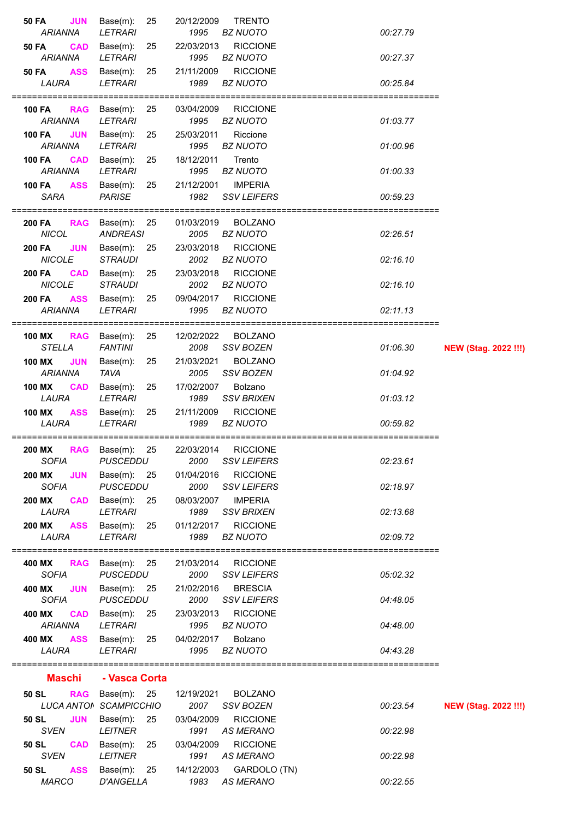| <b>50 FA</b><br><b>JUN</b><br><b>ARIANNA</b>  | Base(m):<br>25<br><b>LETRARI</b>             | 20/12/2009<br>1995 | <b>TRENTO</b><br><b>BZ NUOTO</b>      | 00:27.79 |                             |
|-----------------------------------------------|----------------------------------------------|--------------------|---------------------------------------|----------|-----------------------------|
| <b>CAD</b><br>50 FA                           | Base(m):<br>25                               | 22/03/2013         | <b>RICCIONE</b>                       |          |                             |
| <b>ARIANNA</b>                                | <b>LETRARI</b>                               | 1995               | <b>BZ NUOTO</b>                       | 00:27.37 |                             |
| <b>ASS</b><br><b>50 FA</b>                    | Base(m):<br>25                               | 21/11/2009         | <b>RICCIONE</b>                       |          |                             |
| LAURA                                         | <b>LETRARI</b>                               | 1989               | <b>BZ NUOTO</b>                       | 00:25.84 |                             |
| 100 FA                                        | <b>RAG</b> Base(m):<br>- 25                  | 03/04/2009         | <b>RICCIONE</b>                       |          |                             |
| <b>ARIANNA</b>                                | <b>LETRARI</b>                               | 1995               | <b>BZ NUOTO</b>                       | 01:03.77 |                             |
| <b>JUN</b><br><b>100 FA</b>                   | Base(m):<br>25                               | 25/03/2011         | Riccione                              |          |                             |
| ARIANNA                                       | <b>LETRARI</b>                               | 1995               | <b>BZ NUOTO</b>                       | 01:00.96 |                             |
| <b>100 FA</b><br><b>CAD</b><br><b>ARIANNA</b> | Base(m):<br>25<br><b>LETRARI</b>             | 18/12/2011<br>1995 | Trento<br><b>BZ NUOTO</b>             | 01:00.33 |                             |
| <b>100 FA</b><br><b>ASS</b>                   | Base(m):<br>25                               | 21/12/2001         | <b>IMPERIA</b>                        |          |                             |
| <b>SARA</b>                                   | <b>PARISE</b>                                | 1982               | <b>SSV LEIFERS</b>                    | 00:59.23 |                             |
|                                               |                                              |                    |                                       |          |                             |
| 200 FA                                        | RAG Base(m): 25                              | 01/03/2019         | <b>BOLZANO</b>                        |          |                             |
| <b>NICOL</b><br><b>JUN</b><br><b>200 FA</b>   | <b>ANDREASI</b><br>Base(m):<br>25            | 2005<br>23/03/2018 | <b>BZ NUOTO</b><br><b>RICCIONE</b>    | 02:26.51 |                             |
| <b>NICOLE</b>                                 | <b>STRAUDI</b>                               | 2002               | <b>BZ NUOTO</b>                       | 02:16.10 |                             |
| <b>CAD</b><br><b>200 FA</b>                   | 25<br>Base(m):                               | 23/03/2018         | <b>RICCIONE</b>                       |          |                             |
| <b>NICOLE</b>                                 | <b>STRAUDI</b>                               | 2002               | <b>BZ NUOTO</b>                       | 02:16.10 |                             |
| <b>200 FA</b><br><b>ASS</b>                   | Base(m):<br>25                               | 09/04/2017         | <b>RICCIONE</b>                       |          |                             |
| ARIANNA                                       | <b>LETRARI</b>                               | 1995               | <b>BZ NUOTO</b>                       | 02:11.13 |                             |
| <b>100 MX</b>                                 | 25<br><b>RAG</b> Base(m):                    | 12/02/2022         | <b>BOLZANO</b>                        |          |                             |
| <b>STELLA</b>                                 | <b>FANTINI</b>                               | 2008               | SSV BOZEN                             | 01:06.30 | <b>NEW (Stag. 2022 !!!)</b> |
| 100 MX<br><b>JUN</b>                          | Base(m):<br>25                               | 21/03/2021         | <b>BOLZANO</b>                        |          |                             |
| <b>ARIANNA</b>                                | <b>TAVA</b>                                  | 2005               | <b>SSV BOZEN</b>                      | 01:04.92 |                             |
| <b>100 MX</b><br><b>CAD</b><br>LAURA          | Base(m):<br>25<br><b>LETRARI</b>             | 17/02/2007<br>1989 | Bolzano<br><b>SSV BRIXEN</b>          | 01:03.12 |                             |
| 100 MX<br><b>ASS</b>                          | 25<br>Base(m):                               | 21/11/2009         | <b>RICCIONE</b>                       |          |                             |
| LAURA                                         | <b>LETRARI</b>                               | 1989               | <b>BZ NUOTO</b>                       | 00:59.82 |                             |
|                                               | ==================                           |                    | =========================             |          |                             |
| <b>200 MX</b><br><b>SOFIA</b>                 | 25<br><b>RAG</b> Base(m):<br><b>PUSCEDDU</b> | 22/03/2014<br>2000 | <b>RICCIONE</b><br><b>SSV LEIFERS</b> | 02:23.61 |                             |
| <b>200 MX</b><br><b>JUN</b>                   | Base(m): 25                                  | 01/04/2016         | <b>RICCIONE</b>                       |          |                             |
| <b>SOFIA</b>                                  | <b>PUSCEDDU</b>                              | 2000               | <b>SSV LEIFERS</b>                    | 02:18.97 |                             |
| <b>200 MX</b>                                 | $CAD$ Base(m): 25                            | 08/03/2007         | <b>IMPERIA</b>                        |          |                             |
| LAURA<br><b>ASS</b><br><b>200 MX</b>          | <b>LETRARI</b><br>Base(m):<br>25             | 1989<br>01/12/2017 | <b>SSV BRIXEN</b><br><b>RICCIONE</b>  | 02:13.68 |                             |
| LAURA                                         | <b>LETRARI</b>                               | 1989               | <b>BZ NUOTO</b>                       | 02:09.72 |                             |
|                                               |                                              |                    |                                       |          |                             |
| 400 MX                                        | RAG Base(m): 25                              | 21/03/2014         | <b>RICCIONE</b>                       |          |                             |
| <b>SOFIA</b><br><b>JUN</b><br>400 MX          | <b>PUSCEDDU</b><br>Base $(m)$ : 25           | 2000<br>21/02/2016 | <b>SSV LEIFERS</b><br><b>BRESCIA</b>  | 05:02.32 |                             |
| <b>SOFIA</b>                                  | <b>PUSCEDDU</b>                              | 2000               | <b>SSV LEIFERS</b>                    | 04:48.05 |                             |
| 400 MX<br><b>CAD</b>                          | Base(m): 25                                  | 23/03/2013         | <b>RICCIONE</b>                       |          |                             |
| <b>ARIANNA</b>                                | <b>LETRARI</b>                               | 1995               | <b>BZ NUOTO</b>                       | 04:48.00 |                             |
| <b>ASS</b><br>400 MX<br>LAURA                 | Base(m):<br>25<br><b>LETRARI</b>             | 04/02/2017<br>1995 | Bolzano<br><b>BZ NUOTO</b>            | 04:43.28 |                             |
|                                               |                                              |                    |                                       |          |                             |
| Maschi                                        | - Vasca Corta                                |                    |                                       |          |                             |
| 50 SL                                         | RAG Base(m): 25                              | 12/19/2021         | <b>BOLZANO</b>                        |          |                             |
|                                               | LUCA ANTON SCAMPICCHIO                       | 2007               | SSV BOZEN                             | 00:23.54 | <b>NEW (Stag. 2022 !!!)</b> |
| <b>JUN</b><br>50 SL                           | 25<br>Base(m):                               | 03/04/2009         | <b>RICCIONE</b>                       |          |                             |
| <b>SVEN</b><br><b>CAD</b>                     | <b>LEITNER</b>                               | 1991               | <b>AS MERANO</b>                      | 00:22.98 |                             |
| 50 SL                                         |                                              |                    |                                       |          |                             |
|                                               | Base(m):<br>25                               | 03/04/2009         | <b>RICCIONE</b>                       |          |                             |
| <b>SVEN</b><br><b>ASS</b><br>50 SL            | <b>LEITNER</b><br>Base $(m)$ : 25            | 1991<br>14/12/2003 | <b>AS MERANO</b><br>GARDOLO (TN)      | 00:22.98 |                             |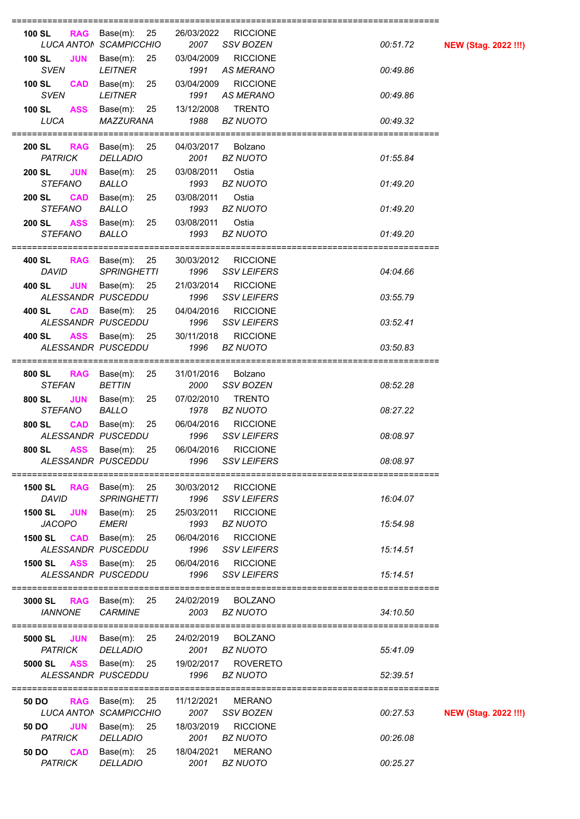| =========                                                                       |                                                             |                                              |
|---------------------------------------------------------------------------------|-------------------------------------------------------------|----------------------------------------------|
| <b>100 SL</b><br>Base $(m)$ : 25<br><b>RAG</b><br>LUCA ANTON SCAMPICCHIO        | <b>RICCIONE</b><br>26/03/2022<br>2007<br>SSV BOZEN          | 00:51.72<br><b>NEW (Stag. 2022 !!!)</b>      |
| <b>JUN</b><br>Base $(m)$ : 25<br><b>100 SL</b>                                  | <b>RICCIONE</b><br>03/04/2009                               |                                              |
| <b>SVEN</b><br><b>LEITNER</b><br><b>100 SL</b>                                  | 1991<br><b>AS MERANO</b><br><b>RICCIONE</b>                 | 00:49.86                                     |
| Base(m):<br>25<br><b>CAD</b><br><b>SVEN</b><br><b>LEITNER</b>                   | 03/04/2009<br>1991<br><b>AS MERANO</b>                      | 00:49.86                                     |
| Base(m):<br><b>100 SL</b><br><b>ASS</b><br>25                                   | <b>TRENTO</b><br>13/12/2008                                 |                                              |
| LUCA<br>MAZZURANA                                                               | 1988<br><b>BZ NUOTO</b>                                     | 00:49.32                                     |
| Base $(m)$ : 25<br><b>200 SL</b><br><b>RAG</b>                                  | Bolzano<br>04/03/2017                                       |                                              |
| <b>PATRICK</b><br><b>DELLADIO</b>                                               | <b>BZ NUOTO</b><br>2001                                     | 01:55.84                                     |
| <b>JUN</b><br><b>200 SL</b><br>Base(m):<br>25<br><b>STEFANO</b><br><b>BALLO</b> | 03/08/2011<br>Ostia<br>1993<br><b>BZ NUOTO</b>              | 01:49.20                                     |
| <b>200 SL</b><br><b>CAD</b><br>Base(m):<br>25                                   | 03/08/2011<br>Ostia                                         |                                              |
| <b>STEFANO</b><br><b>BALLO</b>                                                  | <b>BZ NUOTO</b><br>1993                                     | 01:49.20                                     |
| <b>ASS</b><br>Base(m):<br>25<br><b>200 SL</b><br><b>STEFANO</b><br><b>BALLO</b> | Ostia<br>03/08/2011<br>1993<br><b>BZ NUOTO</b>              | 01:49.20                                     |
|                                                                                 |                                                             |                                              |
| <b>RAG</b><br>Base(m):<br>25<br>400 SL<br><b>DAVID</b><br><b>SPRINGHETTI</b>    | <b>RICCIONE</b><br>30/03/2012<br>1996<br><b>SSV LEIFERS</b> | 04:04.66                                     |
| 400 SL<br><b>JUN</b><br>Base $(m)$ : 25                                         | 21/03/2014<br><b>RICCIONE</b>                               |                                              |
| ALESSANDR PUSCEDDU                                                              | 1996<br><b>SSV LEIFERS</b>                                  | 03:55.79                                     |
| <b>CAD</b><br>Base $(m)$ : 25<br>400 SL                                         | 04/04/2016<br><b>RICCIONE</b>                               |                                              |
| ALESSANDR PUSCEDDU<br><b>ASS</b><br>Base $(m)$ : 25<br>400 SL                   | 1996<br><b>SSV LEIFERS</b><br><b>RICCIONE</b><br>30/11/2018 | 03:52.41                                     |
| ALESSANDR PUSCEDDU                                                              | 1996<br><b>BZ NUOTO</b>                                     | 03:50.83                                     |
|                                                                                 |                                                             | =========================                    |
| RAG Base(m): 25<br>800 SL<br><b>STEFAN</b><br><b>BETTIN</b>                     | 31/01/2016<br>Bolzano<br>SSV BOZEN<br>2000                  | 08:52.28                                     |
| 800 SL<br><b>JUN</b><br>Base(m):<br>25                                          | 07/02/2010<br><b>TRENTO</b>                                 |                                              |
| <b>STEFANO</b><br><b>BALLO</b>                                                  | 1978<br><b>BZ NUOTO</b>                                     | 08:27.22                                     |
| 800 SL<br><b>CAD</b><br>Base(m):<br>25<br>ALESSANDR PUSCEDDU                    | 06/04/2016<br><b>RICCIONE</b><br><b>SSV LEIFERS</b><br>1996 | 08:08.97                                     |
| <b>ASS</b><br>Base $(m)$ : 25<br>800 SL                                         | <b>RICCIONE</b><br>06/04/2016                               |                                              |
| ALESSANDR PUSCEDDU                                                              | 1996<br><b>SSV LEIFERS</b>                                  | 08:08.97<br>================================ |
| <b>RAG</b> Base(m): 25<br>1500 SL                                               | 30/03/2012 RICCIONE                                         |                                              |
| DAVID<br><b>SPRINGHETTI</b>                                                     | 1996<br>SSV LEIFERS                                         | 16:04.07                                     |
| Base(m): 25<br><b>1500 SL</b><br><b>JUN</b><br><b>JACOPO</b><br>EMERI           | <b>RICCIONE</b><br>25/03/2011<br>1993<br><b>BZ NUOTO</b>    | 15:54.98                                     |
| <b>CAD</b> Base(m): $25$<br><b>1500 SL</b>                                      | <b>RICCIONE</b><br>06/04/2016                               |                                              |
| ALESSANDR PUSCEDDU                                                              | SSV LEIFERS<br>1996                                         | 15:14.51                                     |
| <b>ASS</b><br><b>1500 SL</b><br>Base(m): 25<br>ALESSANDR PUSCEDDU               | 06/04/2016<br><b>RICCIONE</b><br><b>SSV LEIFERS</b><br>1996 | 15:14.51                                     |
|                                                                                 |                                                             |                                              |
| <b>3000 SL RAG</b> Base(m): 25                                                  | 24/02/2019 BOLZANO                                          |                                              |
| <b>IANNONE</b><br><b>CARMINE</b>                                                | <b>BZ NUOTO</b><br>2003                                     | 34:10.50                                     |
| 5000 SL JUN<br>Base(m): 25                                                      | 24/02/2019 BOLZANO                                          |                                              |
| <b>PATRICK</b><br><b>DELLADIO</b>                                               | 2001<br><b>BZ NUOTO</b>                                     | 55:41.09                                     |
| Base(m): 25 19/02/2017<br>5000 SL<br>ASS<br>ALESSANDR PUSCEDDU                  | <b>ROVERETO</b><br>1996<br><b>BZ NUOTO</b>                  | 52:39.51                                     |
|                                                                                 |                                                             |                                              |
| 50 DO                                                                           | <b>RAG</b> Base(m): 25 11/12/2021 MERANO                    |                                              |
| LUCA ANTON SCAMPICCHIO<br><b>JUN</b><br>Base $(m)$ : 25<br>50 DO                | 2007<br><b>SSV BOZEN</b><br><b>RICCIONE</b><br>18/03/2019   | 00:27.53<br><b>NEW (Stag. 2022 !!!)</b>      |
| <b>DELLADIO</b><br>PATRICK                                                      | <b>BZ NUOTO</b><br>2001                                     | 00:26.08                                     |
| <b>CAD</b><br>Base $(m)$ : 25<br>50 DO                                          | <b>MERANO</b><br>18/04/2021                                 |                                              |
| <b>PATRICK</b><br><b>DELLADIO</b>                                               | 2001<br><b>BZ NUOTO</b>                                     | 00:25.27                                     |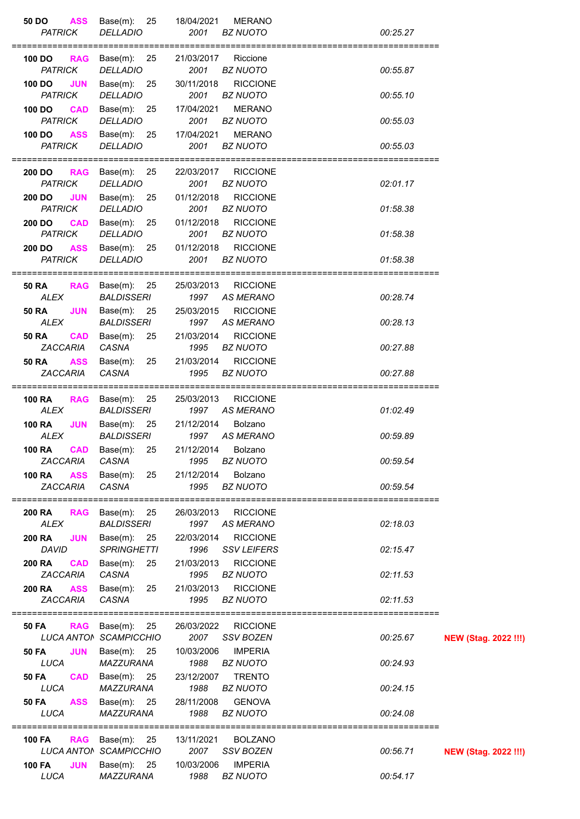| 50 DO<br><b>ASS</b><br><b>PATRICK</b><br><b>DELLADIO</b>                      | Base $(m)$ : 25<br>18/04/2021<br>2001                       | <b>MERANO</b><br><b>BZ NUOTO</b>      | 00:25.27 |                             |
|-------------------------------------------------------------------------------|-------------------------------------------------------------|---------------------------------------|----------|-----------------------------|
| Base(m): 25<br>100 DO<br><b>RAG</b><br><b>PATRICK</b><br><b>DELLADIO</b>      | 21/03/2017<br>2001                                          | Riccione<br><b>BZ NUOTO</b>           | 00:55.87 |                             |
| <b>JUN</b><br>Base(m):<br>100 DO<br><b>PATRICK</b><br><b>DELLADIO</b>         | 30/11/2018<br>25<br>2001                                    | <b>RICCIONE</b><br><b>BZ NUOTO</b>    | 00:55.10 |                             |
| 100 DO<br><b>CAD</b><br>Base(m):<br><b>PATRICK</b><br><b>DELLADIO</b>         | 17/04/2021<br>25<br>2001                                    | <b>MERANO</b><br><b>BZ NUOTO</b>      | 00:55.03 |                             |
| <b>100 DO</b><br><b>ASS</b><br><b>PATRICK</b><br><b>DELLADIO</b>              | 17/04/2021<br>Base(m): 25<br>2001                           | <b>MERANO</b><br><b>BZ NUOTO</b>      | 00:55.03 |                             |
| <b>RAG</b><br>200 DO .<br><b>PATRICK</b><br><b>DELLADIO</b>                   | Base(m): 25<br>22/03/2017<br>2001                           | <b>RICCIONE</b><br><b>BZ NUOTO</b>    | 02:01.17 |                             |
| 200 DO<br><b>JUN</b><br><b>PATRICK</b><br><b>DELLADIO</b>                     | 01/12/2018<br>Base $(m)$ : 25<br>2001                       | <b>RICCIONE</b><br><b>BZ NUOTO</b>    | 01:58.38 |                             |
| 200 DO<br><b>CAD</b><br><b>PATRICK</b><br><b>DELLADIO</b>                     | Base $(m)$ : 25<br>01/12/2018<br>2001                       | <b>RICCIONE</b><br><b>BZ NUOTO</b>    | 01:58.38 |                             |
| <b>ASS</b><br>Base(m):<br><b>200 DO</b><br><b>PATRICK</b><br><b>DELLADIO</b>  | 01/12/2018<br>25<br>2001                                    | <b>RICCIONE</b><br><b>BZ NUOTO</b>    | 01:58.38 |                             |
|                                                                               |                                                             |                                       |          |                             |
| <b>50 RA</b><br>RAG Base(m): 25<br><b>ALEX</b><br><b>BALDISSERI</b>           | 25/03/2013                                                  | <b>RICCIONE</b><br>1997 AS MERANO     | 00:28.74 |                             |
| <b>50 RA</b><br><b>JUN</b><br><b>ALEX</b><br><b>BALDISSERI</b>                | 25/03/2015<br>Base $(m)$ : 25<br>1997                       | <b>RICCIONE</b><br>AS MERANO          | 00:28.13 |                             |
| <b>50 RA</b><br><b>CAD</b><br>ZACCARIA<br>CASNA                               | Base $(m)$ : 25<br>21/03/2014<br>1995                       | <b>RICCIONE</b><br><b>BZ NUOTO</b>    | 00:27.88 |                             |
| <b>50 RA</b><br><b>ASS</b><br>CASNA<br><b>ZACCARIA</b>                        | Base(m): 25<br>21/03/2014<br>1995                           | <b>RICCIONE</b><br><b>BZ NUOTO</b>    | 00:27.88 |                             |
| Base(m):  25<br><b>100 RA</b><br><b>RAG</b><br><b>ALEX</b>                    | 25/03/2013                                                  | <b>RICCIONE</b><br>1997 AS MERANO     | 01:02.49 |                             |
| <b>BALDISSERI</b><br><b>JUN</b><br><b>100 RA</b><br><b>BALDISSERI</b><br>ALEX | Base $(m)$ : 25<br>21/12/2014<br>1997                       | Bolzano<br>AS MERANO                  | 00:59.89 |                             |
| 100 RA    CAD    Base(m): 25<br>CASNA<br>ZACCARIA                             | 1995                                                        | 21/12/2014 Bolzano<br><b>BZ NUOTO</b> | 00:59.54 |                             |
| <b>100 RA</b><br><b>ASS</b><br>ZACCARIA<br>CASNA                              | 21/12/2014<br>Base(m): 25<br>1995                           | Bolzano<br><b>BZ NUOTO</b>            | 00:59.54 |                             |
|                                                                               |                                                             |                                       |          |                             |
| 200 RA<br><b>RAG</b><br><b>BALDISSERI</b><br>ALEX                             | Base $(m)$ : 25<br>26/03/2013<br>1997                       | <b>RICCIONE</b><br><b>AS MERANO</b>   | 02:18.03 |                             |
| <b>200 RA</b><br><b>JUN</b><br><b>DAVID</b>                                   | Base $(m)$ : 25<br>22/03/2014<br><b>SPRINGHETTI</b><br>1996 | <b>RICCIONE</b><br><b>SSV LEIFERS</b> | 02:15.47 |                             |
| <b>200 RA</b><br><b>CAD</b><br><b>ZACCARIA</b><br>CASNA                       | 21/03/2013<br>Base $(m)$ : 25<br>1995                       | <b>RICCIONE</b><br><b>BZ NUOTO</b>    | 02:11.53 |                             |
| <b>ASS</b><br>200 RA<br>CASNA<br>ZACCARIA                                     | 21/03/2013<br>Base $(m)$ : 25<br>1995                       | <b>RICCIONE</b><br><b>BZ NUOTO</b>    | 02:11.53 |                             |
| RAG Base(m): 25<br>50 FA                                                      | 26/03/2022                                                  | <b>RICCIONE</b>                       |          |                             |
| LUCA ANTON SCAMPICCHIO<br><b>JUN</b><br>50 FA                                 | 2007<br>10/03/2006<br>Base $(m)$ : 25                       | <b>SSV BOZEN</b><br><b>IMPERIA</b>    | 00:25.67 | <b>NEW (Stag. 2022 !!!)</b> |
| <b>LUCA</b><br>MAZZURANA<br><b>50 FA</b><br><b>CAD</b>                        | 1988<br>23/12/2007<br>Base(m): 25                           | <b>BZ NUOTO</b><br><b>TRENTO</b>      | 00:24.93 |                             |
| LUCA<br>MAZZURANA<br><b>ASS</b><br><b>50 FA</b>                               | 1988<br>28/11/2008<br>Base $(m)$ : 25                       | <b>BZ NUOTO</b><br><b>GENOVA</b>      | 00:24.15 |                             |
| <b>LUCA</b><br><b>MAZZURANA</b>                                               | 1988                                                        | <b>BZ NUOTO</b>                       | 00:24.08 |                             |
| Base(m): 25<br><b>RAG</b><br>100 FA<br>LUCA ANTON SCAMPICCHIO                 | 13/11/2021<br>2007                                          | <b>BOLZANO</b><br><b>SSV BOZEN</b>    | 00:56.71 | <b>NEW (Stag. 2022 !!!)</b> |
| <b>JUN</b><br><b>100 FA</b><br>LUCA<br>MAZZURANA                              | 10/03/2006<br>Base $(m)$ : 25<br>1988                       | <b>IMPERIA</b><br><b>BZ NUOTO</b>     | 00:54.17 |                             |
|                                                                               |                                                             |                                       |          |                             |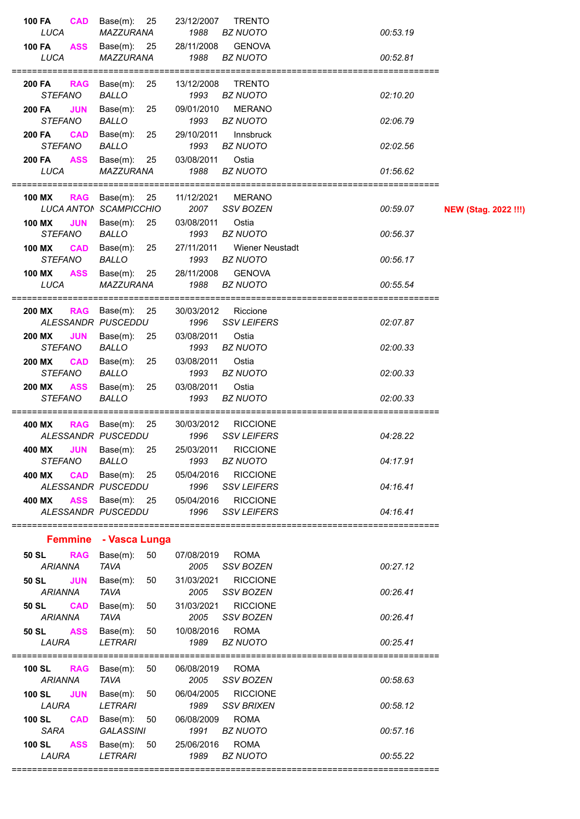| <b>100 FA</b><br><b>CAD</b>                   | Base $(m)$ : 25                                  | 23/12/2007         | <b>TRENTO</b>                             |          |                             |
|-----------------------------------------------|--------------------------------------------------|--------------------|-------------------------------------------|----------|-----------------------------|
| LUCA                                          | MAZZURANA                                        | 1988               | <b>BZ NUOTO</b>                           | 00:53.19 |                             |
| <b>100 FA</b><br><b>ASS</b><br>LUCA           | Base $(m)$ : 25<br>MAZZURANA                     | 28/11/2008<br>1988 | <b>GENOVA</b><br><b>BZ NUOTO</b>          | 00:52.81 |                             |
| <b>RAG</b><br>200 FA<br><b>STEFANO</b>        | Base $(m)$ : 25<br>BALLO                         | 13/12/2008<br>1993 | <b>TRENTO</b><br><b>BZ NUOTO</b>          | 02:10.20 |                             |
| <b>200 FA</b><br><b>JUN</b><br><b>STEFANO</b> | Base(m): 25<br>BALLO                             | 09/01/2010<br>1993 | <b>MERANO</b><br><b>BZ NUOTO</b>          | 02:06.79 |                             |
| <b>CAD</b><br><b>200 FA</b><br><b>STEFANO</b> | Base(m): 25<br><b>BALLO</b>                      | 29/10/2011<br>1993 | Innsbruck<br><b>BZ NUOTO</b>              | 02:02.56 |                             |
| <b>ASS</b><br><b>200 FA</b><br>LUCA           | Base(m): 25<br>MAZZURANA                         | 03/08/2011<br>1988 | Ostia<br><b>BZ NUOTO</b>                  | 01:56.62 |                             |
| 100 MX                                        | <b>RAG</b> Base(m): 25<br>LUCA ANTON SCAMPICCHIO | 11/12/2021<br>2007 | <b>MERANO</b><br><b>SSV BOZEN</b>         | 00:59.07 | <b>NEW (Stag. 2022 !!!)</b> |
| <b>100 MX</b><br><b>JUN</b><br><b>STEFANO</b> | Base $(m)$ : 25<br><b>BALLO</b>                  | 03/08/2011<br>1993 | Ostia<br><b>BZ NUOTO</b>                  | 00:56.37 |                             |
| <b>100 MX</b><br><b>CAD</b><br><b>STEFANO</b> | Base(m): 25<br><b>BALLO</b>                      | 27/11/2011<br>1993 | Wiener Neustadt<br><b>BZ NUOTO</b>        | 00:56.17 |                             |
| 100 MX<br>LUCA                                | ASS Base(m): 25<br>MAZZURANA                     | 28/11/2008<br>1988 | <b>GENOVA</b><br>BZ NUOTO                 | 00:55.54 |                             |
| <b>200 MX</b>                                 | RAG Base $(m)$ : 25<br>ALESSANDR PUSCEDDU        | 1996               | 30/03/2012 Riccione<br><b>SSV LEIFERS</b> | 02:07.87 |                             |
| <b>200 MX</b><br><b>JUN</b><br><b>STEFANO</b> | Base(m): 25<br><b>BALLO</b>                      | 03/08/2011<br>1993 | Ostia<br><b>BZ NUOTO</b>                  | 02:00.33 |                             |
| <b>CAD</b><br><b>200 MX</b><br><b>STEFANO</b> | Base(m): 25<br><b>BALLO</b>                      | 03/08/2011<br>1993 | Ostia<br><b>BZ NUOTO</b>                  | 02:00.33 |                             |
| 200 MX<br><b>ASS</b><br><b>STEFANO</b>        | Base(m):<br>25<br><b>BALLO</b>                   | 03/08/2011<br>1993 | Ostia<br><b>BZ NUOTO</b>                  | 02:00.33 |                             |
| 400 MX                                        | RAG Base(m): 25<br>ALESSANDR PUSCEDDU            | 30/03/2012<br>1996 | <b>RICCIONE</b><br><b>SSV LEIFERS</b>     | 04:28.22 |                             |
| <b>JUN</b><br>400 MX<br><b>STEFANO</b>        | Base(m): 25<br><b>BALLO</b>                      | 25/03/2011<br>1993 | <b>RICCIONE</b><br><b>BZ NUOTO</b>        | 04:17.91 |                             |
| 400 MX<br><b>CAD</b>                          | Base(m): 25<br>ALESSANDR PUSCEDDU                | 05/04/2016<br>1996 | <b>RICCIONE</b><br><b>SSV LEIFERS</b>     | 04:16.41 |                             |
| 400 MX                                        | <b>ASS</b> Base(m): 25<br>ALESSANDR PUSCEDDU     | 05/04/2016<br>1996 | <b>RICCIONE</b><br>SSV LEIFERS            | 04:16.41 |                             |
|                                               | Femmine - Vasca Lunga                            |                    |                                           |          |                             |
| <b>RAG</b><br>50 SL<br><b>ARIANNA</b>         | Base(m):<br>50<br><b>TAVA</b>                    | 07/08/2019<br>2005 | <b>ROMA</b><br>SSV BOZEN                  | 00:27.12 |                             |
| <b>JUN</b><br>50 SL<br><b>ARIANNA</b>         | Base $(m)$ : 50<br><b>TAVA</b>                   | 31/03/2021<br>2005 | <b>RICCIONE</b><br><b>SSV BOZEN</b>       | 00:26.41 |                             |
| <b>50 SL</b><br><b>CAD</b><br><b>ARIANNA</b>  | Base(m): 50<br><b>TAVA</b>                       | 31/03/2021<br>2005 | <b>RICCIONE</b><br>SSV BOZEN              | 00:26.41 |                             |
| 50 SL ASS<br>LAURA                            | Base(m): 50<br><b>LETRARI</b>                    | 10/08/2016         | <b>ROMA</b><br>1989 BZ NUOTO              | 00:25.41 |                             |
| <b>100 SL</b><br><b>RAG</b><br><b>ARIANNA</b> | Base(m): 50<br><b>TAVA</b>                       | 06/08/2019<br>2005 | <b>ROMA</b><br><b>SSV BOZEN</b>           | 00:58.63 |                             |
| <b>100 SL</b><br><b>JUN</b><br>LAURA          | Base(m): 50<br>LETRARI                           | 06/04/2005<br>1989 | <b>RICCIONE</b><br>SSV BRIXEN             | 00:58.12 |                             |
| <b>CAD</b><br><b>100 SL</b><br><b>SARA</b>    | Base(m): 50<br><b>GALASSINI</b>                  | 06/08/2009<br>1991 | <b>ROMA</b><br><b>BZ NUOTO</b>            | 00:57.16 |                             |
| 100 SL<br><b>ASS</b><br>LAURA                 | Base(m): 50<br><b>LETRARI</b>                    | 25/06/2016<br>1989 | <b>ROMA</b><br><b>BZ NUOTO</b>            | 00:55.22 |                             |
|                                               |                                                  |                    |                                           |          |                             |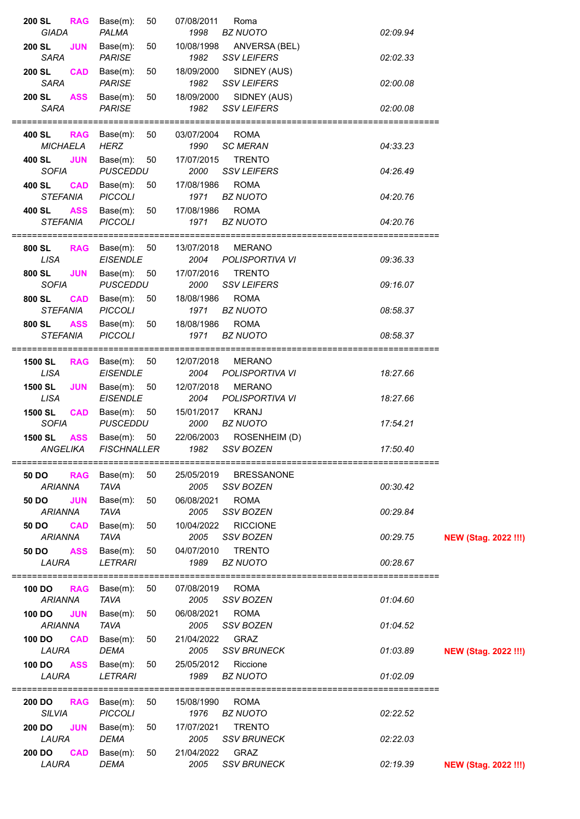| 200 SL<br><b>RAG</b><br>GIADA                 | Base(m):<br>50<br>PALMA                       | 07/08/2011<br>1998      | Roma<br><b>BZ NUOTO</b>               | 02:09.94 |                             |
|-----------------------------------------------|-----------------------------------------------|-------------------------|---------------------------------------|----------|-----------------------------|
| <b>200 SL</b><br><b>JUN</b><br><b>SARA</b>    | Base(m):<br>50                                | 10/08/1998              | ANVERSA (BEL)                         |          |                             |
| <b>200 SL</b><br><b>CAD</b>                   | <b>PARISE</b><br>Base(m):<br>50               | 1982<br>18/09/2000      | <b>SSV LEIFERS</b><br>SIDNEY (AUS)    | 02:02.33 |                             |
| <b>SARA</b>                                   | <b>PARISE</b>                                 | 1982                    | <b>SSV LEIFERS</b>                    | 02:00.08 |                             |
| 200 SL<br><b>ASS</b><br><b>SARA</b>           | Base(m):<br>50<br><b>PARISE</b>               | 18/09/2000<br>1982      | SIDNEY (AUS)<br><b>SSV LEIFERS</b>    | 02:00.08 |                             |
| <b>RAG</b><br>400 SL<br><b>MICHAELA</b>       | 50<br>Base(m):<br><b>HERZ</b>                 | 03/07/2004 ROMA<br>1990 | <b>SC MERAN</b>                       | 04:33.23 |                             |
| <b>JUN</b><br>400 SL                          | Base $(m)$ : 50                               | 17/07/2015              | <b>TRENTO</b>                         |          |                             |
| <b>SOFIA</b><br>400 SL<br><b>CAD</b>          | <b>PUSCEDDU</b><br>Base $(m)$ : 50            | 2000<br>17/08/1986      | <b>SSV LEIFERS</b><br><b>ROMA</b>     | 04:26.49 |                             |
| <b>STEFANIA</b>                               | <b>PICCOLI</b>                                | 1971                    | <b>BZ NUOTO</b>                       | 04:20.76 |                             |
| <b>ASS</b><br>400 SL<br><b>STEFANIA</b>       | Base(m):<br>50<br><b>PICCOLI</b>              | 17/08/1986<br>1971      | <b>ROMA</b><br><b>BZ NUOTO</b>        | 04:20.76 |                             |
| 800 SL                                        | RAG Base(m): 50                               | 13/07/2018              | <b>MERANO</b>                         |          |                             |
| <b>LISA</b>                                   | <b>EISENDLE</b><br>Base $(m)$ : 50            | 2004<br>17/07/2016      | POLISPORTIVA VI<br><b>TRENTO</b>      | 09:36.33 |                             |
| <b>JUN</b><br>800 SL<br><b>SOFIA</b>          | <b>PUSCEDDU</b>                               | 2000                    | <b>SSV LEIFERS</b>                    | 09:16.07 |                             |
| <b>CAD</b><br>800 SL<br><b>STEFANIA</b>       | 50<br>Base(m):<br><b>PICCOLI</b>              | 18/08/1986<br>1971      | <b>ROMA</b><br><b>BZ NUOTO</b>        | 08:58.37 |                             |
| 800 SL<br><b>ASS</b>                          | Base(m):<br>50                                | 18/08/1986              | <b>ROMA</b>                           |          |                             |
| <b>STEFANIA</b>                               | <b>PICCOLI</b>                                | 1971                    | <b>BZ NUOTO</b>                       | 08:58.37 |                             |
| <b>1500 SL</b><br>LISA                        | <b>RAG</b> Base $(m)$ : 50<br><b>EISENDLE</b> | 12/07/2018<br>2004      | MERANO<br><b>POLISPORTIVA VI</b>      | 18:27.66 |                             |
| 1500 SL<br><b>JUN</b>                         | Base $(m)$ : 50                               | 12/07/2018              | <b>MERANO</b>                         |          |                             |
| <b>LISA</b>                                   | <b>EISENDLE</b>                               | 2004                    | POLISPORTIVA VI                       | 18:27.66 |                             |
| 1500 SL<br><b>CAD</b><br><b>SOFIA</b>         | Base $(m)$ : 50<br><b>PUSCEDDU</b>            | 15/01/2017<br>2000      | <b>KRANJ</b><br><b>BZ NUOTO</b>       | 17:54.21 |                             |
| <b>1500 SL</b><br><b>ASS</b><br>ANGELIKA      | Base $(m)$ : 50<br><b>FISCHNALLER</b>         | 22/06/2003<br>1982      | ROSENHEIM (D)<br>SSV BOZEN            | 17:50.40 |                             |
|                                               |                                               |                         |                                       |          |                             |
| 50 DO<br><b>RAG</b><br><b>ARIANNA</b>         | Base(m):<br>50<br><b>TAVA</b>                 | 25/05/2019<br>2005      | <b>BRESSANONE</b><br><b>SSV BOZEN</b> | 00:30.42 |                             |
| <b>JUN</b><br>50 DO<br><b>ARIANNA</b>         | Base(m):<br>50<br><b>TAVA</b>                 | 06/08/2021<br>2005      | <b>ROMA</b><br><b>SSV BOZEN</b>       | 00:29.84 |                             |
| 50 DO<br><b>CAD</b>                           | Base(m):<br>50                                | 10/04/2022              | <b>RICCIONE</b>                       |          |                             |
| <b>ARIANNA</b><br><b>ASS</b><br>50 DO         | <b>TAVA</b><br>Base(m):<br>50                 | 2005<br>04/07/2010      | <b>SSV BOZEN</b><br><b>TRENTO</b>     | 00:29.75 | <b>NEW (Stag. 2022 !!!)</b> |
| LAURA                                         | <b>LETRARI</b>                                | 1989                    | <b>BZ NUOTO</b>                       | 00:28.67 |                             |
| 100 DO<br><b>RAG</b>                          | Base(m):<br>50                                | 07/08/2019              | <b>ROMA</b>                           |          |                             |
| <b>ARIANNA</b><br><b>100 DO</b><br><b>JUN</b> | <b>TAVA</b><br>Base(m):<br>50                 | 2005<br>06/08/2021      | <b>SSV BOZEN</b><br><b>ROMA</b>       | 01:04.60 |                             |
| <b>ARIANNA</b>                                | <b>TAVA</b>                                   | 2005                    | <b>SSV BOZEN</b>                      | 01:04.52 |                             |
| 100 DO<br><b>CAD</b><br>LAURA                 | Base(m):<br>50<br><b>DEMA</b>                 | 21/04/2022<br>2005      | GRAZ<br><b>SSV BRUNECK</b>            | 01:03.89 | <b>NEW (Stag. 2022 !!!)</b> |
| 100 DO<br><b>ASS</b>                          | Base(m):<br>50                                | 25/05/2012              | Riccione                              |          |                             |
| LAURA                                         | <b>LETRARI</b><br>==========================  | 1989                    | <b>BZ NUOTO</b>                       | 01:02.09 |                             |
| 200 DO<br><b>RAG</b><br><b>SILVIA</b>         | Base(m):<br>50<br><b>PICCOLI</b>              | 15/08/1990<br>1976      | <b>ROMA</b><br><b>BZ NUOTO</b>        | 02:22.52 |                             |
| 200 DO<br><b>JUN</b>                          | Base(m):<br>50                                | 17/07/2021              | <b>TRENTO</b>                         |          |                             |
| LAURA                                         | <b>DEMA</b>                                   | 2005                    | <b>SSV BRUNECK</b>                    | 02:22.03 |                             |
| <b>CAD</b><br>200 DO<br>LAURA                 | Base(m):<br>50<br><b>DEMA</b>                 | 21/04/2022<br>2005      | GRAZ<br><b>SSV BRUNECK</b>            | 02:19.39 | <b>NEW (Stag. 2022 !!!)</b> |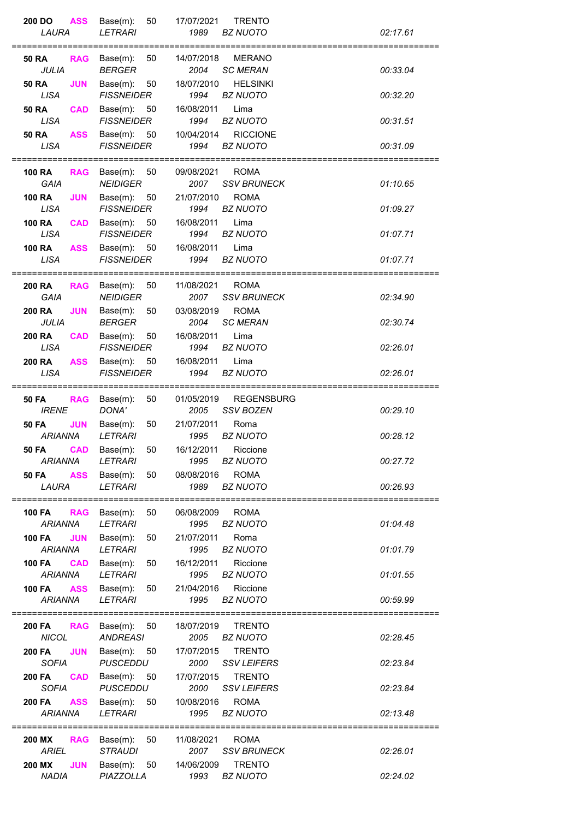| <b>ASS</b><br>200 DO<br>LAURA                                           | Base(m):<br>50<br><b>LETRARI</b>                       | 17/07/2021<br><b>TRENTO</b><br>1989<br><b>BZ NUOTO</b>                         | 02:17.61 |
|-------------------------------------------------------------------------|--------------------------------------------------------|--------------------------------------------------------------------------------|----------|
| <b>RAG</b><br>50 RA<br><b>JULIA</b>                                     | Base(m):<br>50<br><b>BERGER</b>                        | 14/07/2018<br><b>MERANO</b><br>2004<br><b>SC MERAN</b>                         | 00:33.04 |
| <b>50 RA</b><br><b>JUN</b><br><b>LISA</b>                               | Base(m):<br>50<br><b>FISSNEIDER</b>                    | <b>HELSINKI</b><br>18/07/2010<br>1994<br>BZ NUOTO                              | 00:32.20 |
| <b>50 RA</b><br><b>CAD</b><br><b>LISA</b><br><b>ASS</b><br><b>50 RA</b> | Base(m):<br>50<br><b>FISSNEIDER</b><br>Base $(m)$ : 50 | 16/08/2011<br>Lima<br>1994<br><b>BZ NUOTO</b><br>10/04/2014<br><b>RICCIONE</b> | 00:31.51 |
| <b>LISA</b>                                                             | <b>FISSNEIDER</b>                                      | 1994<br><b>BZ NUOTO</b>                                                        | 00:31.09 |
| <b>100 RA</b><br><b>RAG</b><br><b>GAIA</b>                              | Base $(m)$ : 50<br><b>NEIDIGER</b>                     | 09/08/2021<br><b>ROMA</b><br>2007<br><b>SSV BRUNECK</b>                        | 01:10.65 |
| <b>100 RA</b><br><b>JUN</b><br><b>LISA</b>                              | Base(m):<br>50<br><b>FISSNEIDER</b>                    | 21/07/2010<br><b>ROMA</b><br>1994<br><b>BZ NUOTO</b>                           | 01:09.27 |
| <b>100 RA</b><br><b>CAD</b><br><b>LISA</b>                              | Base $(m)$ : 50<br><b>FISSNEIDER</b>                   | 16/08/2011<br>Lima<br>1994<br><b>BZ NUOTO</b>                                  | 01:07.71 |
| <b>100 RA</b><br><b>ASS</b><br><b>LISA</b>                              | Base $(m)$ : 50<br><b>FISSNEIDER</b>                   | 16/08/2011<br>Lima<br>1994<br><b>BZ NUOTO</b>                                  | 01:07.71 |
| <b>200 RA</b><br><b>RAG</b><br><b>GAIA</b>                              | Base(m):<br>50<br><b>NEIDIGER</b>                      | 11/08/2021<br><b>ROMA</b><br>2007<br><b>SSV BRUNECK</b>                        | 02:34.90 |
| <b>200 RA</b><br><b>JUN</b><br>JULIA                                    | Base(m):<br>50<br><b>BERGER</b>                        | 03/08/2019<br><b>ROMA</b><br>2004<br><b>SC MERAN</b>                           | 02:30.74 |
| <b>200 RA</b><br><b>CAD</b><br><b>LISA</b>                              | Base(m):<br>50<br><b>FISSNEIDER</b>                    | 16/08/2011<br>Lima<br>1994<br><b>BZ NUOTO</b>                                  | 02:26.01 |
| <b>200 RA</b><br><b>ASS</b><br><b>LISA</b>                              | Base(m):<br>50<br><b>FISSNEIDER</b>                    | 16/08/2011<br>Lima<br>1994<br><b>BZ NUOTO</b>                                  | 02:26.01 |
| <b>50 FA</b><br><b>RAG</b><br><b>IRENE</b>                              | 50<br>Base(m):<br>DONA'                                | <b>REGENSBURG</b><br>01/05/2019<br>2005<br><b>SSV BOZEN</b>                    | 00:29.10 |
| <b>JUN</b><br><b>50 FA</b><br><b>ARIANNA</b>                            | Base(m):<br>50<br><b>LETRARI</b>                       | 21/07/2011<br>Roma<br>1995<br><b>BZ NUOTO</b>                                  | 00:28.12 |
| ARIANNA                                                                 | <b>50 FA CAD</b> Base(m): 50<br>LETRARI                | 16/12/2011 Riccione<br>1995 BZ NUOTO                                           | 00:27.72 |
| LAURA                                                                   | LETRARI                                                | 50 FA ASS Base(m): 50 08/08/2016 ROMA<br>1989 BZ NUOTO                         | 00:26.93 |
| 100 FA RAG Base(m):<br><b>ARIANNA</b>                                   | 50<br>LETRARI                                          | 06/08/2009 ROMA<br>1995 BZ NUOTO                                               | 01:04.48 |
| 100 FA JUN<br>ARIANNA                                                   | Base(m):<br>50<br>LETRARI                              | 21/07/2011<br>Roma<br>BZ NUOTO<br>1995                                         | 01:01.79 |
| <b>100 FA CAD</b> Base(m): 50<br><b>ARIANNA</b>                         | LETRARI                                                | Riccione<br>16/12/2011<br>BZ NUOTO<br>1995                                     | 01:01.55 |
| <b>ASS</b><br>100 FA<br><b>ARIANNA</b>                                  | Base $(m)$ : 50<br>LETRARI                             | 21/04/2016<br>Riccione<br>1995<br>BZ NUOTO                                     | 00:59.99 |
| <b>200 FA RAG Base(m): 50</b><br><b>NICOL</b>                           | <b>ANDREASI</b>                                        | 18/07/2019<br><b>TRENTO</b><br>2005 BZ NUOTO                                   | 02:28.45 |
| <b>JUN</b><br><b>200 FA</b><br><b>SOFIA</b>                             | Base(m): 50<br>PUSCEDDU                                | 17/07/2015 TRENTO<br>2000 SSV LEIFERS                                          | 02:23.84 |
| <b>200 FA</b><br><b>CAD</b><br><b>SOFIA</b>                             | PUSCEDDU                                               | Base(m): 50 17/07/2015 TRENTO<br>2000 SSV LEIFERS                              | 02:23.84 |
| <b>200 FA</b><br><b>ARIANNA</b>                                         | ASS Base(m): 50<br>LETRARI                             | 10/08/2016<br><b>ROMA</b><br>1995 BZ NUOTO                                     | 02:13.48 |
| 200 MX<br><b>ARIEL</b>                                                  | <b>RAG</b> Base(m): 50<br>STRAUDI                      | 11/08/2021<br><b>ROMA</b><br>2007 SSV BRUNECK                                  | 02:26.01 |
| 200 MX<br><b>JUN</b>                                                    | Base $(m)$ : 50<br>PIAZZOLLA                           | <b>TRENTO</b><br>14/06/2009<br>1993 BZ NUOTO                                   | 02:24.02 |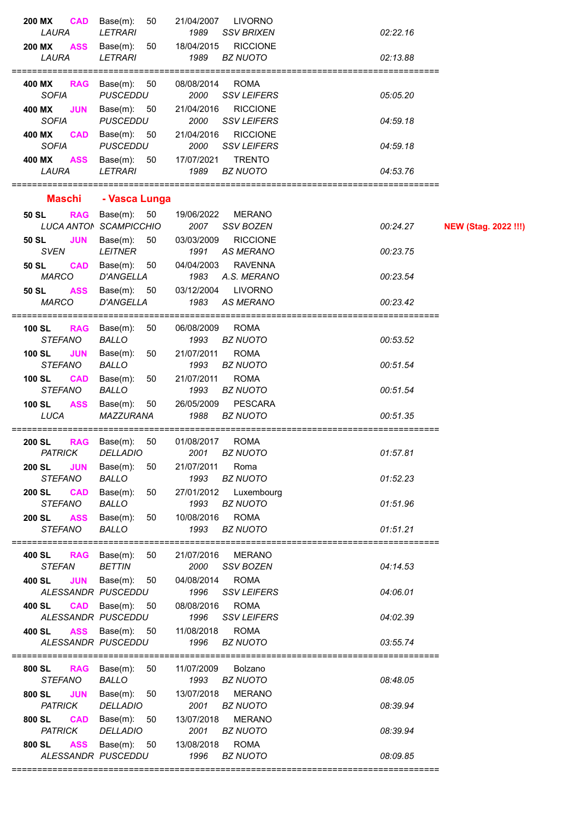| 200 MX<br><b>CAD</b><br>LAURA                 | Base(m):<br>50<br><b>LETRARI</b>                                       | 21/04/2007<br>1989 | <b>LIVORNO</b><br><b>SSV BRIXEN</b>    | 02:22.16 |                             |
|-----------------------------------------------|------------------------------------------------------------------------|--------------------|----------------------------------------|----------|-----------------------------|
| <b>ASS</b><br>200 MX<br>LAURA                 | Base(m):<br>50<br><b>LETRARI</b>                                       | 18/04/2015<br>1989 | <b>RICCIONE</b><br><b>BZ NUOTO</b>     | 02:13.88 |                             |
| <b>RAG</b><br>400 MX<br><b>SOFIA</b>          | Base $(m)$ : 50<br><b>PUSCEDDU</b>                                     | 08/08/2014<br>2000 | <b>ROMA</b><br><b>SSV LEIFERS</b>      | 05:05.20 |                             |
| 400 MX<br><b>JUN</b><br><b>SOFIA</b>          | Base $(m)$ : 50<br><b>PUSCEDDU</b>                                     | 21/04/2016<br>2000 | <b>RICCIONE</b><br><b>SSV LEIFERS</b>  | 04:59.18 |                             |
| 400 MX<br><b>CAD</b><br><b>SOFIA</b>          | Base $(m)$ : 50<br><b>PUSCEDDU</b>                                     | 21/04/2016<br>2000 | <b>RICCIONE</b><br><b>SSV LEIFERS</b>  | 04:59.18 |                             |
| 400 MX<br><b>ASS</b><br>LAURA                 | Base $(m)$ : 50<br><b>LETRARI</b>                                      | 17/07/2021<br>1989 | <b>TRENTO</b><br><b>BZ NUOTO</b>       | 04:53.76 |                             |
| <b>Maschi</b>                                 | - Vasca Lunga                                                          |                    |                                        |          |                             |
| 50 SL<br><b>RAG</b>                           | Base $(m)$ : 50<br>LUCA ANTON SCAMPICCHIO                              | 19/06/2022<br>2007 | <b>MERANO</b><br><b>SSV BOZEN</b>      | 00:24.27 | <b>NEW (Stag. 2022 !!!)</b> |
| 50 SL<br><b>JUN</b><br><b>SVEN</b>            | Base $(m)$ : 50<br><b>LEITNER</b>                                      | 03/03/2009<br>1991 | <b>RICCIONE</b><br><b>AS MERANO</b>    | 00:23.75 |                             |
| <b>CAD</b><br>50 SL<br><b>MARCO</b>           | Base $(m)$ : 50<br><b>D'ANGELLA</b>                                    | 04/04/2003<br>1983 | <b>RAVENNA</b><br>A.S. MERANO          | 00:23.54 |                             |
| 50 SL<br><b>ASS</b><br><b>MARCO</b>           | Base $(m)$ : 50<br><b>D'ANGELLA</b>                                    | 03/12/2004<br>1983 | <b>LIVORNO</b><br><b>AS MERANO</b>     | 00:23.42 |                             |
| <b>100 SL</b><br><b>RAG</b><br><b>STEFANO</b> | Base(m):<br>50<br><b>BALLO</b>                                         | 06/08/2009<br>1993 | <b>ROMA</b><br><b>BZ NUOTO</b>         | 00:53.52 |                             |
| <b>100 SL</b><br><b>JUN</b><br><b>STEFANO</b> | Base(m):<br>50<br><b>BALLO</b>                                         | 21/07/2011<br>1993 | <b>ROMA</b><br><b>BZ NUOTO</b>         | 00:51.54 |                             |
| <b>100 SL</b><br><b>CAD</b><br><b>STEFANO</b> | Base(m):<br>50<br><b>BALLO</b>                                         | 21/07/2011<br>1993 | <b>ROMA</b><br><b>BZ NUOTO</b>         | 00:51.54 |                             |
| 100 SL<br><b>ASS</b><br><b>LUCA</b>           | Base(m):<br>50<br>MAZZURANA                                            | 1988               | 26/05/2009 PESCARA<br><b>BZ NUOTO</b>  | 00:51.35 |                             |
| <b>200 SL</b><br><b>RAG</b><br>PATRICK        | Base $(m)$ : 50<br>DELLADIO                                            | 01/08/2017         | <b>ROMA</b><br>2001 BZ NUOTO           | 01:57.81 |                             |
| <b>200 SL JUN</b><br>STEFANO                  | Base $(m)$ : 50<br><b>BALLO</b>                                        | 21/07/2011 Roma    | 1993 BZ NUOTO                          | 01:52.23 |                             |
| 200 SL CAD<br>STEFANO                         | Base(m): 50<br><b>BALLO</b>                                            |                    | 27/01/2012 Luxembourg<br>1993 BZ NUOTO | 01:51.96 |                             |
| <b>200 SL ASS</b><br>STEFANO                  | Base(m): 50 10/08/2016 ROMA<br>BALLO                                   | 1993 BZ NUOTO      |                                        | 01:51.21 |                             |
| <b>STEFAN</b>                                 | <b>400 SL RAG</b> Base(m): 50<br><b>BETTIN</b>                         | 2000               | 21/07/2016 MERANO<br>SSV BOZEN         | 04:14.53 |                             |
| <b>JUN</b><br>400 SL                          | Base(m): 50 04/08/2014 ROMA<br>ALESSANDR PUSCEDDU 1996 SSV LEIFERS     |                    |                                        | 04:06.01 |                             |
| 400 SL                                        | CAD Base(m): 50 08/08/2016 ROMA<br>ALESSANDR PUSCEDDU 1996 SSV LEIFERS |                    |                                        | 04:02.39 |                             |
|                                               | 400 SL ASS Base(m): 50 11/08/2018 ROMA<br>ALESSANDR PUSCEDDU           |                    | 1996 BZ NUOTO                          | 03:55.74 |                             |
| STEFANO                                       | 800 SL RAG Base(m): 50 11/07/2009 Bolzano<br>BALLO 1993 BZ NUOTO       |                    |                                        | 08:48.05 |                             |
| <b>PATRICK</b>                                | 800 SL JUN Base(m): 50 13/07/2018 MERANO<br>DELLADIO                   |                    | 2001 BZ NUOTO                          | 08:39.94 |                             |
| 800 SL CAD<br><b>PATRICK</b>                  | Base(m): 50 13/07/2018 MERANO<br><b>DELLADIO</b>                       |                    | 2001 BZ NUOTO                          | 08:39.94 |                             |
| <b>ASS</b><br>800 SL<br>ALESSANDR PUSCEDDU    | Base(m): 50 13/08/2018                                                 |                    | <b>ROMA</b><br>1996 BZ NUOTO           | 08:09.85 |                             |
|                                               |                                                                        |                    |                                        |          |                             |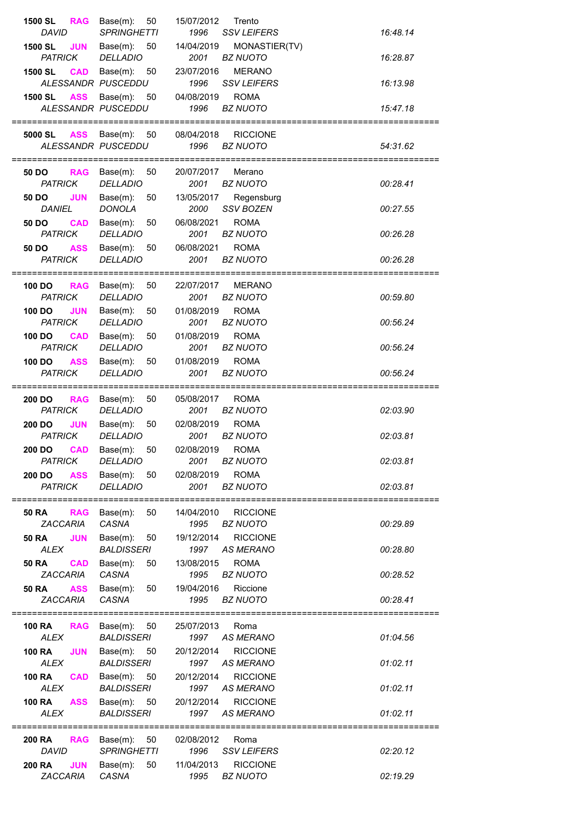| 1500 SL<br><b>RAG</b><br><b>DAVID</b>      | Base(m):<br>50<br><b>SPRINGHETTI</b>  | 15/07/2012<br>Trento<br>1996<br><b>SSV LEIFERS</b>        | 16:48.14 |
|--------------------------------------------|---------------------------------------|-----------------------------------------------------------|----------|
| 1500 SL<br><b>JUN</b>                      | Base $(m)$ : 50                       | 14/04/2019<br>MONASTIER(TV)                               |          |
| <b>PATRICK</b>                             | <b>DELLADIO</b>                       | 2001<br><b>BZ NUOTO</b>                                   | 16:28.87 |
| 1500 SL<br><b>CAD</b>                      | Base $(m)$ : 50<br>ALESSANDR PUSCEDDU | 23/07/2016<br><b>MERANO</b><br>1996<br><b>SSV LEIFERS</b> | 16:13.98 |
| <b>1500 SL ASS</b>                         | Base $(m)$ : 50                       | 04/08/2019<br><b>ROMA</b>                                 |          |
|                                            | ALESSANDR PUSCEDDU                    | 1996<br>BZ NUOTO                                          | 15:47.18 |
| 5000 SL                                    | ASS Base(m): 50                       | 08/04/2018<br><b>RICCIONE</b>                             |          |
|                                            | ALESSANDR PUSCEDDU                    | 1996<br>BZ NUOTO                                          | 54:31.62 |
| 50 DO<br><b>RAG</b>                        | Base(m): 50                           | 20/07/2017<br>Merano                                      |          |
| <b>PATRICK</b>                             | <b>DELLADIO</b>                       | 2001<br><b>BZ NUOTO</b>                                   | 00:28.41 |
| <b>JUN</b><br>50 DO<br><b>DANIEL</b>       | Base $(m)$ : 50<br><b>DONOLA</b>      | 13/05/2017<br>Regensburg<br>2000<br><b>SSV BOZEN</b>      | 00:27.55 |
| <b>CAD</b><br>50 DO                        | Base(m):<br>50                        | 06/08/2021<br><b>ROMA</b>                                 |          |
| <b>PATRICK</b>                             | <b>DELLADIO</b>                       | 2001<br><b>BZ NUOTO</b>                                   | 00:26.28 |
| 50 DO<br><b>ASS</b><br><b>PATRICK</b>      | Base $(m)$ : 50<br><b>DELLADIO</b>    | 06/08/2021<br><b>ROMA</b><br>2001<br><b>BZ NUOTO</b>      | 00:26.28 |
|                                            |                                       |                                                           |          |
| 100 DO<br><b>RAG</b>                       | Base(m): 50                           | 22/07/2017<br><b>MERANO</b><br><b>BZ NUOTO</b>            |          |
| <b>PATRICK</b><br><b>JUN</b><br>100 DO     | <b>DELLADIO</b><br>Base(m):<br>50     | 2001<br>01/08/2019<br><b>ROMA</b>                         | 00:59.80 |
| <b>PATRICK</b>                             | <b>DELLADIO</b>                       | 2001<br><b>BZ NUOTO</b>                                   | 00:56.24 |
| 100 DO<br><b>CAD</b><br><b>PATRICK</b>     | Base $(m)$ : 50<br><b>DELLADIO</b>    | 01/08/2019<br><b>ROMA</b><br>2001<br><b>BZ NUOTO</b>      | 00:56.24 |
| <b>ASS</b><br>100 DO                       | Base $(m)$ : 50                       | <b>ROMA</b><br>01/08/2019                                 |          |
| <b>PATRICK</b>                             | <b>DELLADIO</b>                       | 2001<br><b>BZ NUOTO</b>                                   | 00:56.24 |
| <b>RAG</b><br>200 DO                       | Base $(m)$ : 50                       | <b>ROMA</b><br>05/08/2017                                 |          |
| <b>PATRICK</b>                             | <b>DELLADIO</b>                       | 2001<br><b>BZ NUOTO</b>                                   | 02:03.90 |
| 200 DO<br><b>JUN</b><br><b>PATRICK</b>     | Base $(m)$ : 50<br><b>DELLADIO</b>    | 02/08/2019<br><b>ROMA</b><br><b>BZ NUOTO</b><br>2001      | 02:03.81 |
| <b>CAD</b><br>200 DO                       | 50<br>Base(m):                        | 02/08/2019<br><b>ROMA</b>                                 |          |
| <b>PATRICK</b><br><b>ASS</b><br>200 DO     | DELLADIO<br>Base $(m)$ : 50           | <b>BZ NUOTO</b><br>2001<br><b>ROMA</b><br>02/08/2019      | 02:03.81 |
| <b>PATRICK</b>                             | <b>DELLADIO</b>                       | 2001<br><b>BZ NUOTO</b>                                   | 02:03.81 |
|                                            |                                       |                                                           |          |
| <b>RAG</b><br>50 RA<br>ZACCARIA            | Base(m): 50<br>CASNA                  | <b>RICCIONE</b><br>14/04/2010<br>1995<br>BZ NUOTO         | 00:29.89 |
| <b>JUN</b><br><b>50 RA</b>                 | Base(m):<br>50                        | 19/12/2014<br><b>RICCIONE</b>                             |          |
| <b>ALEX</b><br><b>50 RA</b><br><b>CAD</b>  | BALDISSERI<br>Base(m):<br>50          | <b>AS MERANO</b><br>1997<br>13/08/2015<br><b>ROMA</b>     | 00:28.80 |
| <b>ZACCARIA</b>                            | CASNA                                 | <b>BZ NUOTO</b><br>1995                                   | 00:28.52 |
| <b>50 RA</b><br><b>ASS</b>                 | Base(m):<br>50                        | 19/04/2016<br>Riccione                                    |          |
| <b>ZACCARIA</b><br>===============         | CASNA                                 | 1995<br><b>BZ NUOTO</b>                                   | 00:28.41 |
| <b>RAG</b><br>100 RA                       | Base(m): 50                           | 25/07/2013<br>Roma                                        |          |
| ALEX<br><b>100 RA</b><br><b>JUN</b>        | BALDISSERI<br>Base $(m)$ : 50         | 1997 AS MERANO<br>20/12/2014<br><b>RICCIONE</b>           | 01:04.56 |
| <b>ALEX</b>                                | <b>BALDISSERI</b>                     | 1997<br>AS MERANO                                         | 01:02.11 |
| <b>100 RA</b><br><b>CAD</b>                | Base $(m)$ : 50                       | <b>RICCIONE</b><br>20/12/2014                             |          |
| <b>ALEX</b><br><b>100 RA</b><br><b>ASS</b> | <b>BALDISSERI</b><br>Base $(m)$ : 50  | 1997<br>AS MERANO<br>20/12/2014<br><b>RICCIONE</b>        | 01:02.11 |
| <b>ALEX</b>                                | <b>BALDISSERI</b>                     | <b>AS MERANO</b><br>1997                                  | 01:02.11 |
|                                            | =================================     |                                                           |          |
| <b>200 RA</b><br><b>DAVID</b>              | RAG Base(m): 50<br><b>SPRINGHETTI</b> | 02/08/2012<br>Roma<br>1996<br><b>SSV LEIFERS</b>          | 02:20.12 |
| <b>JUN</b><br><b>200 RA</b>                | Base $(m)$ : 50                       | <b>RICCIONE</b><br>11/04/2013                             |          |
| ZACCARIA                                   | CASNA                                 | <b>BZ NUOTO</b><br>1995                                   | 02:19.29 |